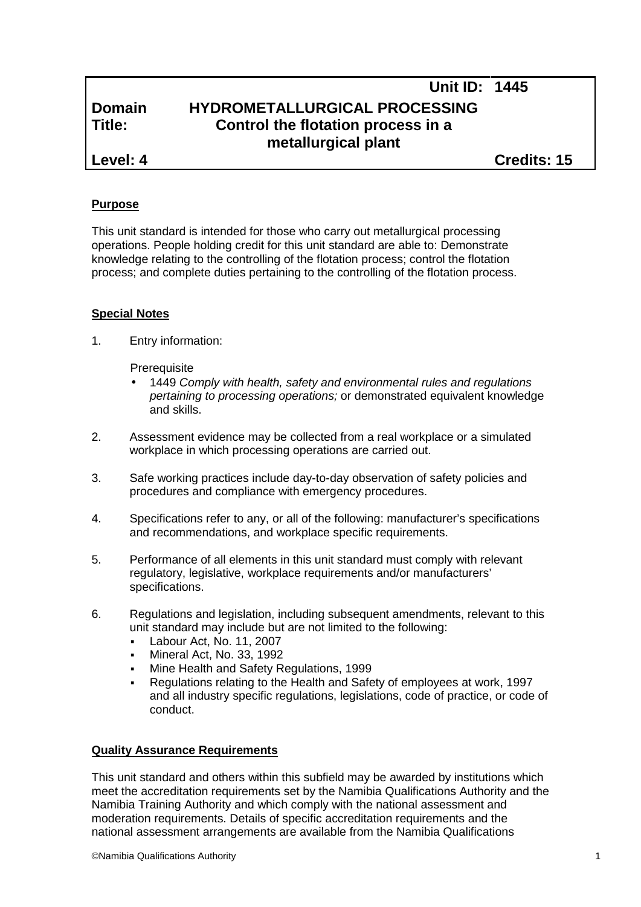# **Unit ID: 1445 Domain HYDROMETALLURGICAL PROCESSING Title: Control the flotation process in a metallurgical plant**

**Level: 4 Credits: 15**

## **Purpose**

This unit standard is intended for those who carry out metallurgical processing operations. People holding credit for this unit standard are able to: Demonstrate knowledge relating to the controlling of the flotation process; control the flotation process; and complete duties pertaining to the controlling of the flotation process.

## **Special Notes**

1. Entry information:

**Prerequisite** 

- 1449 *Comply with health, safety and environmental rules and regulations pertaining to processing operations;* or demonstrated equivalent knowledge and skills.
- 2. Assessment evidence may be collected from a real workplace or a simulated workplace in which processing operations are carried out.
- 3. Safe working practices include day-to-day observation of safety policies and procedures and compliance with emergency procedures.
- 4. Specifications refer to any, or all of the following: manufacturer's specifications and recommendations, and workplace specific requirements.
- 5. Performance of all elements in this unit standard must comply with relevant regulatory, legislative, workplace requirements and/or manufacturers' specifications.
- 6. Regulations and legislation, including subsequent amendments, relevant to this unit standard may include but are not limited to the following:
	- Labour Act, No. 11, 2007
	- Mineral Act, No. 33, 1992
	- Mine Health and Safety Regulations, 1999
	- Regulations relating to the Health and Safety of employees at work, 1997 and all industry specific regulations, legislations, code of practice, or code of conduct.

#### **Quality Assurance Requirements**

This unit standard and others within this subfield may be awarded by institutions which meet the accreditation requirements set by the Namibia Qualifications Authority and the Namibia Training Authority and which comply with the national assessment and moderation requirements. Details of specific accreditation requirements and the national assessment arrangements are available from the Namibia Qualifications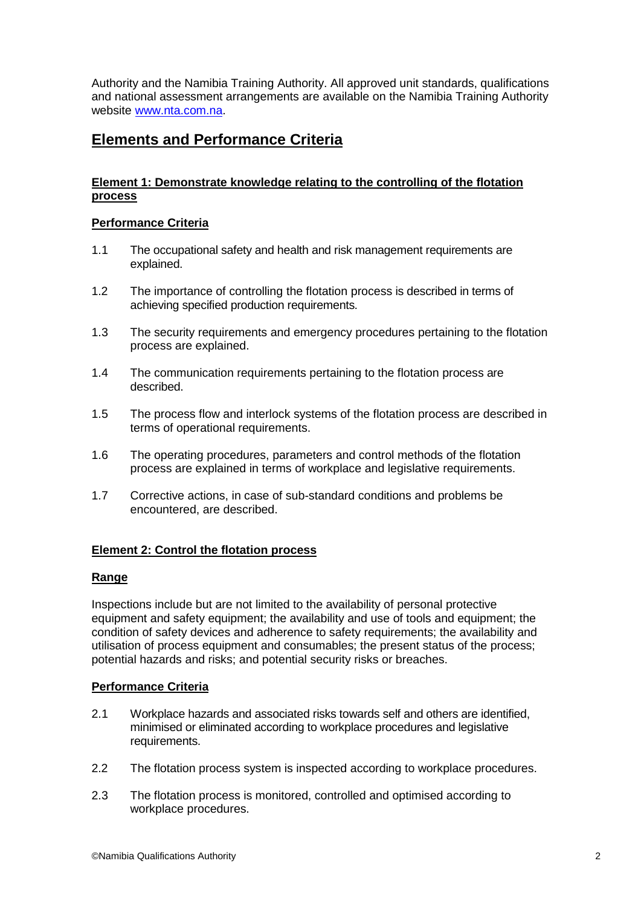Authority and the Namibia Training Authority. All approved unit standards, qualifications and national assessment arrangements are available on the Namibia Training Authority website www.nta.com.na.

## **Elements and Performance Criteria**

## **Element 1: Demonstrate knowledge relating to the controlling of the flotation process**

#### **Performance Criteria**

- 1.1 The occupational safety and health and risk management requirements are explained.
- 1.2 The importance of controlling the flotation process is described in terms of achieving specified production requirements.
- 1.3 The security requirements and emergency procedures pertaining to the flotation process are explained.
- 1.4 The communication requirements pertaining to the flotation process are described.
- 1.5 The process flow and interlock systems of the flotation process are described in terms of operational requirements.
- 1.6 The operating procedures, parameters and control methods of the flotation process are explained in terms of workplace and legislative requirements.
- 1.7 Corrective actions, in case of sub-standard conditions and problems be encountered, are described.

#### **Element 2: Control the flotation process**

#### **Range**

Inspections include but are not limited to the availability of personal protective equipment and safety equipment; the availability and use of tools and equipment; the condition of safety devices and adherence to safety requirements; the availability and utilisation of process equipment and consumables; the present status of the process; potential hazards and risks; and potential security risks or breaches.

## **Performance Criteria**

- 2.1 Workplace hazards and associated risks towards self and others are identified, minimised or eliminated according to workplace procedures and legislative requirements.
- 2.2 The flotation process system is inspected according to workplace procedures.
- 2.3 The flotation process is monitored, controlled and optimised according to workplace procedures.